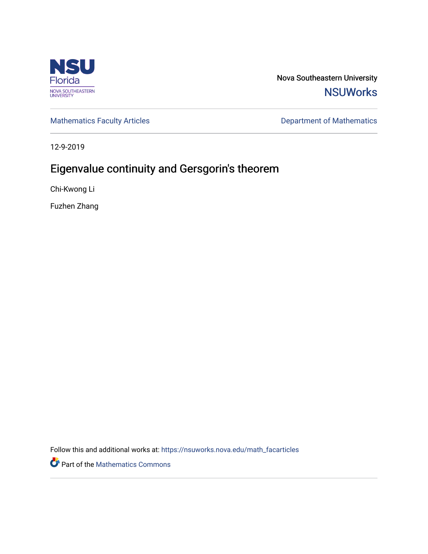

Nova Southeastern University **NSUWorks** 

[Mathematics Faculty Articles](https://nsuworks.nova.edu/math_facarticles) **Department of Mathematics** Department of Mathematics

12-9-2019

# Eigenvalue continuity and Gersgorin's theorem

Chi-Kwong Li

Fuzhen Zhang

Follow this and additional works at: [https://nsuworks.nova.edu/math\\_facarticles](https://nsuworks.nova.edu/math_facarticles?utm_source=nsuworks.nova.edu%2Fmath_facarticles%2F304&utm_medium=PDF&utm_campaign=PDFCoverPages) 

Part of the [Mathematics Commons](http://network.bepress.com/hgg/discipline/174?utm_source=nsuworks.nova.edu%2Fmath_facarticles%2F304&utm_medium=PDF&utm_campaign=PDFCoverPages)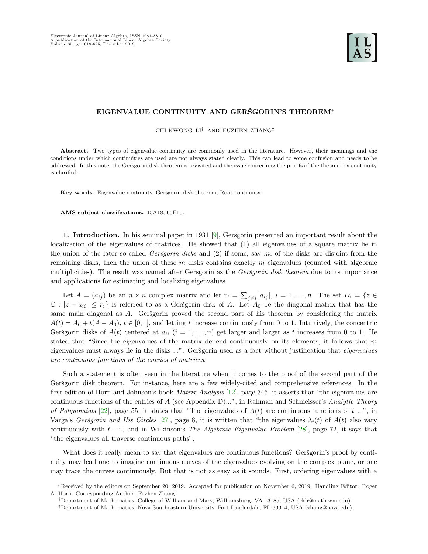# EIGENVALUE CONTINUITY AND GERŠGORIN'S THEOREM<sup>\*</sup>

CHI-KWONG LI† AND FUZHEN ZHANG‡

Abstract. Two types of eigenvalue continuity are commonly used in the literature. However, their meanings and the conditions under which continuities are used are not always stated clearly. This can lead to some confusion and needs to be addressed. In this note, the Geršgorin disk theorem is revisited and the issue concerning the proofs of the theorem by continuity is clarified.

Key words. Eigenvalue continuity, Geršgorin disk theorem, Root continuity.

AMS subject classifications. 15A18, 65F15.

1. Introduction. In his seminal paper in 1931 [\[9\]](#page-7-0), Geršgorin presented an important result about the localization of the eigenvalues of matrices. He showed that (1) all eigenvalues of a square matrix lie in the union of the later so-called Gersgorin disks and  $(2)$  if some, say m, of the disks are disjoint from the remaining disks, then the union of these  $m$  disks contains exactly  $m$  eigenvalues (counted with algebraic multiplicities). The result was named after Geršgorin as the Geršgorin disk theorem due to its importance and applications for estimating and localizing eigenvalues.

Let  $A = (a_{ij})$  be an  $n \times n$  complex matrix and let  $r_i = \sum_{j \neq i} |a_{ij}|$ ,  $i = 1, ..., n$ . The set  $D_i = \{z \in$  $\mathbb{C}: |z - a_{ii}| \leq r_i$  is referred to as a Geršgorin disk of A. Let  $A_0$  be the diagonal matrix that has the same main diagonal as  $A$ . Geršgorin proved the second part of his theorem by considering the matrix  $A(t) = A_0 + t(A - A_0), t \in [0, 1],$  and letting t increase continuously from 0 to 1. Intuitively, the concentric Geršgorin disks of  $A(t)$  centered at  $a_{ii}$   $(i = 1, \ldots, n)$  get larger and larger as t increases from 0 to 1. He stated that "Since the eigenvalues of the matrix depend continuously on its elements, it follows that m eigenvalues must always lie in the disks ...". Geršgorin used as a fact without justification that *eigenvalues* are continuous functions of the entries of matrices.

Such a statement is often seen in the literature when it comes to the proof of the second part of the Geršgorin disk theorem. For instance, here are a few widely-cited and comprehensive references. In the first edition of Horn and Johnson's book Matrix Analysis [\[12\]](#page-7-1), page 345, it asserts that "the eigenvalues are continuous functions of the entries of A (see Appendix D)...", in Rahman and Schmeisser's Analytic Theory of Polynomials [\[22\]](#page-7-2), page 55, it states that "The eigenvalues of  $A(t)$  are continuous functions of t ...", in Varga's Geršgorin and His Circles [\[27\]](#page-7-3), page 8, it is written that "the eigenvalues  $\lambda_i(t)$  of  $A(t)$  also vary continuously with  $t \ldots$ ", and in Wilkinson's The Algebraic Eigenvalue Problem [\[28\]](#page-7-4), page 72, it says that "the eigenvalues all traverse continuous paths".

What does it really mean to say that eigenvalues are continuous functions? Geršgorin's proof by continuity may lead one to imagine continuous curves of the eigenvalues evolving on the complex plane, or one may trace the curves continuously. But that is not as easy as it sounds. First, ordering eigenvalues with a

<sup>∗</sup>Received by the editors on September 20, 2019. Accepted for publication on November 6, 2019. Handling Editor: Roger A. Horn. Corresponding Author: Fuzhen Zhang.

<sup>†</sup>Department of Mathematics, College of William and Mary, Williamsburg, VA 13185, USA (ckli@math.wm.edu).

<sup>‡</sup>Department of Mathematics, Nova Southeastern University, Fort Lauderdale, FL 33314, USA (zhang@nova.edu).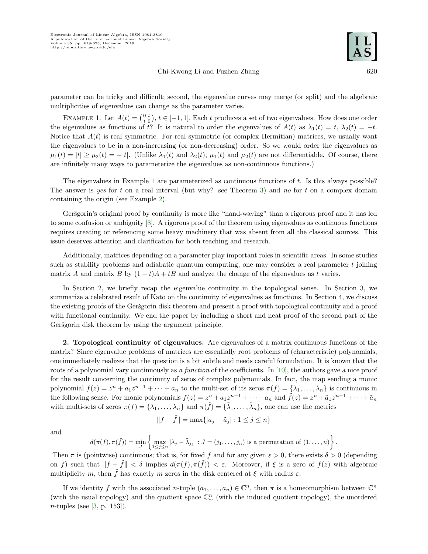### Chi-Kwong Li and Fuzhen Zhang 620



parameter can be tricky and difficult; second, the eigenvalue curves may merge (or split) and the algebraic multiplicities of eigenvalues can change as the parameter varies.

<span id="page-2-0"></span>EXAMPLE 1. Let  $A(t) = \begin{pmatrix} 0 & t \\ t & 0 \end{pmatrix}$ ,  $t \in [-1, 1]$ . Each t produces a set of two eigenvalues. How does one order the eigenvalues as functions of t? It is natural to order the eigenvalues of  $A(t)$  as  $\lambda_1(t) = t$ ,  $\lambda_2(t) = -t$ . Notice that  $A(t)$  is real symmetric. For real symmetric (or complex Hermitian) matrices, we usually want the eigenvalues to be in a non-increasing (or non-decreasing) order. So we would order the eigenvalues as  $\mu_1(t) = |t| \ge \mu_2(t) = -|t|.$  (Unlike  $\lambda_1(t)$  and  $\lambda_2(t)$ ,  $\mu_1(t)$  and  $\mu_2(t)$  are not differentiable. Of course, there are infinitely many ways to parameterize the eigenvalues as non-continuous functions.)

The eigenvalues in Example [1](#page-2-0) are parameterized as continuous functions of  $t$ . Is this always possible? The answer is yes for t on a real interval (but why? see Theorem [3\)](#page-4-0) and no for t on a complex domain containing the origin (see Example [2\)](#page-3-0).

Geršgorin's original proof by continuity is more like "hand-waving" than a rigorous proof and it has led to some confusion or ambiguity [\[8\]](#page-7-5). A rigorous proof of the theorem using eigenvalues as continuous functions requires creating or referencing some heavy machinery that was absent from all the classical sources. This issue deserves attention and clarification for both teaching and research.

Additionally, matrices depending on a parameter play important roles in scientific areas. In some studies such as stability problems and adiabatic quantum computing, one may consider a real parameter  $t$  joining matrix A and matrix B by  $(1-t)A + tB$  and analyze the change of the eigenvalues as t varies.

In Section 2, we briefly recap the eigenvalue continuity in the topological sense. In Section 3, we summarize a celebrated result of Kato on the continuity of eigenvalues as functions. In Section 4, we discuss the existing proofs of the Geršgorin disk theorem and present a proof with topological continuity and a proof with functional continuity. We end the paper by including a short and neat proof of the second part of the Geršgorin disk theorem by using the argument principle.

2. Topological continuity of eigenvalues. Are eigenvalues of a matrix continuous functions of the matrix? Since eigenvalue problems of matrices are essentially root problems of (characteristic) polynomials, one immediately realizes that the question is a bit subtle and needs careful formulation. It is known that the roots of a polynomial vary continuously as a function of the coefficients. In [\[10\]](#page-7-6), the authors gave a nice proof for the result concerning the continuity of zeros of complex polynomials. In fact, the map sending a monic polynomial  $f(z) = z^n + a_1 z^{n-1} + \cdots + a_n$  to the multi-set of its zeros  $\pi(f) = {\lambda_1, \ldots, \lambda_n}$  is continuous in the following sense. For monic polynomials  $f(z) = z^n + a_1 z^{n-1} + \cdots + a_n$  and  $\tilde{f}(z) = z^n + \tilde{a}_1 z^{n-1} + \cdots + \tilde{a}_n$ with multi-sets of zeros  $\pi(f) = \{\lambda_1, \ldots, \lambda_n\}$  and  $\pi(\tilde{f}) = \{\tilde{\lambda}_1, \ldots, \tilde{\lambda}_n\}$ , one can use the metrics

$$
||f - \tilde{f}|| = \max\{|a_j - \tilde{a}_j| : 1 \le j \le n\}
$$

and

$$
d(\pi(f), \pi(\tilde{f})) = \min_{J} \left\{ \max_{1 \leq j \leq n} |\lambda_j - \tilde{\lambda}_{j_\ell}| : J = (j_1, \ldots, j_n) \text{ is a permutation of } (1, \ldots, n) \right\}.
$$

Then  $\pi$  is (pointwise) continuous; that is, for fixed f and for any given  $\varepsilon > 0$ , there exists  $\delta > 0$  (depending on f) such that  $||f - \tilde{f}|| < \delta$  implies  $d(\pi(f), \pi(\tilde{f})) < \varepsilon$ . Moreover, if  $\xi$  is a zero of  $f(z)$  with algebraic multiplicity m, then  $\tilde{f}$  has exactly m zeros in the disk centered at  $\xi$  with radius  $\varepsilon$ .

If we identity f with the associated n-tuple  $(a_1, \ldots, a_n) \in \mathbb{C}^n$ , then  $\pi$  is a homeomorphism between  $\mathbb{C}^n$ (with the usual topology) and the quotient space  $\mathbb{C}_{\infty}^{n}$  (with the induced quotient topology), the unordered  $n$ -tuples (see [\[3,](#page-7-7) p. 153]).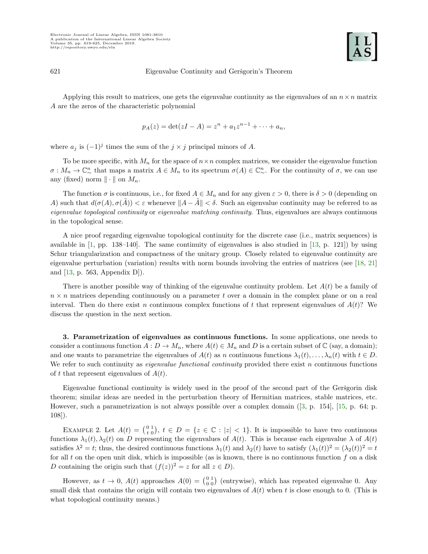#### 621 Eigenvalue Continuity and Geršgorin's Theorem

Applying this result to matrices, one gets the eigenvalue continuity as the eigenvalues of an  $n \times n$  matrix A are the zeros of the characteristic polynomial

$$
p_A(z) = \det(zI - A) = z^n + a_1 z^{n-1} + \dots + a_n,
$$

where  $a_j$  is  $(-1)^j$  times the sum of the  $j \times j$  principal minors of A.

To be more specific, with  $M_n$  for the space of  $n \times n$  complex matrices, we consider the eigenvalue function  $\sigma: M_n \to \mathbb{C}_{\infty}^n$  that maps a matrix  $A \in M_n$  to its spectrum  $\sigma(A) \in \mathbb{C}_{\infty}^n$ . For the continuity of  $\sigma$ , we can use any (fixed) norm  $\|\cdot\|$  on  $M_n$ .

The function  $\sigma$  is continuous, i.e., for fixed  $A \in M_n$  and for any given  $\varepsilon > 0$ , there is  $\delta > 0$  (depending on A) such that  $d(\sigma(A), \sigma(\overline{A})) < \varepsilon$  whenever  $||A - \overline{A}|| < \delta$ . Such an eigenvalue continuity may be referred to as eigenvalue topological continuity or eigenvalue matching continuity. Thus, eigenvalues are always continuous in the topological sense.

A nice proof regarding eigenvalue topological continuity for the discrete case (i.e., matrix sequences) is available in  $[1, pp. 138-140]$ . The same continuity of eigenvalues is also studied in  $[13, p. 121]$  by using Schur triangularization and compactness of the unitary group. Closely related to eigenvalue continuity are eigenvalue perturbation (variation) results with norm bounds involving the entries of matrices (see [\[18,](#page-7-10) [21\]](#page-7-11) and [\[13,](#page-7-9) p. 563, Appendix D]).

There is another possible way of thinking of the eigenvalue continuity problem. Let  $A(t)$  be a family of  $n \times n$  matrices depending continuously on a parameter t over a domain in the complex plane or on a real interval. Then do there exist n continuous complex functions of t that represent eigenvalues of  $A(t)$ ? We discuss the question in the next section.

3. Parametrization of eigenvalues as continuous functions. In some applications, one needs to consider a continuous function  $A: D \to M_n$ , where  $A(t) \in M_n$  and D is a certain subset of  $\mathbb C$  (say, a domain); and one wants to parametrize the eigenvalues of  $A(t)$  as n continuous functions  $\lambda_1(t), \ldots, \lambda_n(t)$  with  $t \in D$ . We refer to such continuity as *eigenvalue functional continuity* provided there exist  $n$  continuous functions of t that represent eigenvalues of  $A(t)$ .

Eigenvalue functional continuity is widely used in the proof of the second part of the Geršgorin disk theorem; similar ideas are needed in the perturbation theory of Hermitian matrices, stable matrices, etc. However, such a parametrization is not always possible over a complex domain([\[3,](#page-7-7) p. 154], [\[15,](#page-7-12) p. 64; p. 108]).

<span id="page-3-0"></span>EXAMPLE 2. Let  $A(t) = \begin{pmatrix} 0 & 1 \\ t & 0 \end{pmatrix}$ ,  $t \in D = \{z \in \mathbb{C} : |z| < 1\}$ . It is impossible to have two continuous functions  $\lambda_1(t), \lambda_2(t)$  on D representing the eigenvalues of  $A(t)$ . This is because each eigenvalue  $\lambda$  of  $A(t)$ satisfies  $\lambda^2 = t$ ; thus, the desired continuous functions  $\lambda_1(t)$  and  $\lambda_2(t)$  have to satisfy  $(\lambda_1(t))^2 = (\lambda_2(t))^2 = t$ for all t on the open unit disk, which is impossible (as is known, there is no continuous function  $f$  on a disk D containing the origin such that  $(f(z))^2 = z$  for all  $z \in D$ ).

However, as  $t \to 0$ ,  $A(t)$  approaches  $A(0) = \begin{pmatrix} 0 & 1 \\ 0 & 0 \end{pmatrix}$  (entrywise), which has repeated eigenvalue 0. Any small disk that contains the origin will contain two eigenvalues of  $A(t)$  when t is close enough to 0. (This is what topological continuity means.)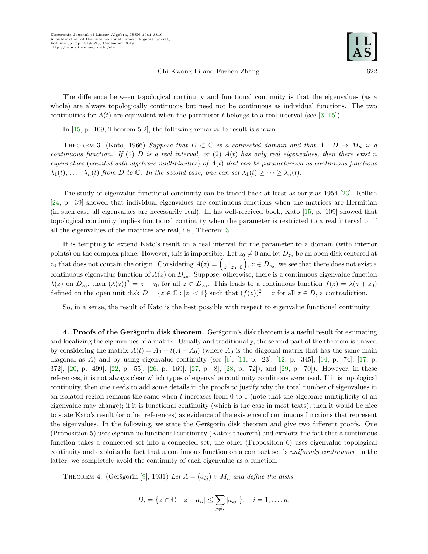### Chi-Kwong Li and Fuzhen Zhang 622

The difference between topological continuity and functional continuity is that the eigenvalues (as a whole) are always topologically continuous but need not be continuous as individual functions. The two continuities for  $A(t)$  are equivalent when the parameter t belongs to a real interval (see [\[3,](#page-7-7) [15\]](#page-7-12)).

In [\[15,](#page-7-12) p. 109, Theorem 5.2], the following remarkable result is shown.

<span id="page-4-0"></span>THEOREM 3. (Kato, 1966) Suppose that  $D \subset \mathbb{C}$  is a connected domain and that  $A : D \to M_n$  is a continuous function. If (1) D is a real interval, or (2)  $A(t)$  has only real eigenvalues, then there exist n eigenvalues (counted with algebraic multiplicities) of  $A(t)$  that can be parameterized as continuous functions  $\lambda_1(t), \ldots, \lambda_n(t)$  from D to C. In the second case, one can set  $\lambda_1(t) \geq \cdots \geq \lambda_n(t)$ .

The study of eigenvalue functional continuity can be traced back at least as early as 1954 [\[23\]](#page-7-13). Rellich [\[24,](#page-7-14) p. 39] showed that individual eigenvalues are continuous functions when the matrices are Hermitian (in such case all eigenvalues are necessarily real). In his well-received book, Kato [\[15,](#page-7-12) p. 109] showed that topological continuity implies functional continuity when the parameter is restricted to a real interval or if all the eigenvalues of the matrices are real, i.e., Theorem [3.](#page-4-0)

It is tempting to extend Kato's result on a real interval for the parameter to a domain (with interior points) on the complex plane. However, this is impossible. Let  $z_0 \neq 0$  and let  $D_{z_0}$  be an open disk centered at  $z_0$  that does not contain the origin. Considering  $A(z) = \begin{pmatrix} 0 & 1 \ z - z_0 & 0 \end{pmatrix}$ ,  $z \in D_{z_0}$ , we see that there does not exist a continuous eigenvalue function of  $A(z)$  on  $D_{z_0}$ . Suppose, otherwise, there is a continuous eigenvalue function  $\lambda(z)$  on  $D_{z_0}$ , then  $(\lambda(z))^2 = z - z_0$  for all  $z \in D_{z_0}$ . This leads to a continuous function  $f(z) = \lambda(z + z_0)$ defined on the open unit disk  $D = \{z \in \mathbb{C} : |z| < 1\}$  such that  $(f(z))^2 = z$  for all  $z \in D$ , a contradiction.

So, in a sense, the result of Kato is the best possible with respect to eigenvalue functional continuity.

4. Proofs of the Geršgorin disk theorem. Geršgorin's disk theorem is a useful result for estimating and localizing the eigenvalues of a matrix. Usually and traditionally, the second part of the theorem is proved by considering the matrix  $A(t) = A_0 + t(A - A_0)$  (where  $A_0$  is the diagonal matrix that has the same main diagonal as A) and by using eigenvalue continuity (see [\[6\]](#page-7-15),  $[11, p. 23]$ ,  $[12, p. 345]$ ,  $[14, p. 74]$ ,  $[17, p. 23]$ 372], [\[20,](#page-7-19) p. 499], [\[22,](#page-7-2) p. 55], [\[26,](#page-7-20) p. 169], [\[27,](#page-7-3) p. 8], [\[28,](#page-7-4) p. 72]), and [\[29,](#page-7-21) p. 70]). However, in these references, it is not always clear which types of eigenvalue continuity conditions were used. If it is topological continuity, then one needs to add some details in the proofs to justify why the total number of eigenvalues in an isolated region remains the same when  $t$  increases from 0 to 1 (note that the algebraic multiplicity of an eigenvalue may change); if it is functional continuity (which is the case in most texts), then it would be nice to state Kato's result (or other references) as evidence of the existence of continuous functions that represent the eigenvalues. In the following, we state the Gersgorin disk theorem and give two different proofs. One (Proposition 5) uses eigenvalue functional continuity (Kato's theorem) and exploits the fact that a continuous function takes a connected set into a connected set; the other (Proposition 6) uses eigenvalue topological continuity and exploits the fact that a continuous function on a compact set is uniformly continuous. In the latter, we completely avoid the continuity of each eigenvalue as a function.

THEOREM 4. (Geršgorin [\[9\]](#page-7-0), 1931) Let  $A = (a_{ij}) \in M_n$  and define the disks

$$
D_i = \{ z \in \mathbb{C} : |z - a_{ii}| \leq \sum_{j \neq i} |a_{ij}| \}, \quad i = 1, ..., n.
$$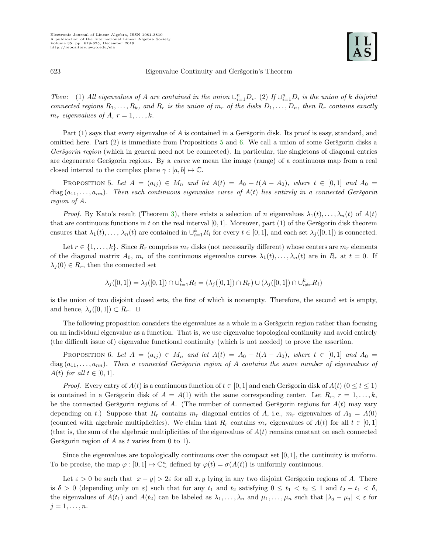# 623 Eigenvalue Continuity and Geršgorin's Theorem

Then: (1) All eigenvalues of A are contained in the union  $\cup_{i=1}^n D_i$ . (2) If  $\cup_{i=1}^n D_i$  is the union of k disjoint connected regions  $R_1, \ldots, R_k$ , and  $R_r$  is the union of  $m_r$  of the disks  $D_1, \ldots, D_n$ , then  $R_r$  contains exactly  $m_r$  eigenvalues of A,  $r = 1, \ldots, k$ .

Part  $(1)$  says that every eigenvalue of A is contained in a Geršgorin disk. Its proof is easy, standard, and omitted here. Part  $(2)$  is immediate from Propositions [5](#page-5-0) and [6.](#page-5-1) We call a union of some Geršgorin disks a Geršgorin region (which in general need not be connected). In particular, the singletons of diagonal entries are degenerate Geršgorin regions. By a *curve* we mean the image (range) of a continuous map from a real closed interval to the complex plane  $\gamma : [a, b] \mapsto \mathbb{C}$ .

<span id="page-5-0"></span>PROPOSITION 5. Let  $A = (a_{ij}) \in M_n$  and let  $A(t) = A_0 + t(A - A_0)$ , where  $t \in [0,1]$  and  $A_0 =$ diag  $(a_{11}, \ldots, a_{nn})$ . Then each continuous eigenvalue curve of  $A(t)$  lies entirely in a connected Geršgorin region of A.

*Proof.* By Kato's result (Theorem [3\)](#page-4-0), there exists a selection of n eigenvalues  $\lambda_1(t), \ldots, \lambda_n(t)$  of  $A(t)$ that are continuous functions in t on the real interval  $[0, 1]$ . Moreover, part (1) of the Geršgorin disk theorem ensures that  $\lambda_1(t), \ldots, \lambda_n(t)$  are contained in  $\cup_{i=1}^k R_i$  for every  $t \in [0,1]$ , and each set  $\lambda_j([0,1])$  is connected.

Let  $r \in \{1, \ldots, k\}$ . Since  $R_r$  comprises  $m_r$  disks (not necessarily different) whose centers are  $m_r$  elements of the diagonal matrix  $A_0$ ,  $m_r$  of the continuous eigenvalue curves  $\lambda_1(t), \ldots, \lambda_n(t)$  are in  $R_r$  at  $t = 0$ . If  $\lambda_j(0) \in R_r$ , then the connected set

$$
\lambda_j([0,1]) = \lambda_j([0,1]) \cap \cup_{i=1}^k R_i = (\lambda_j([0,1]) \cap R_r) \cup (\lambda_j([0,1]) \cap \cup_{i \neq r}^k R_i)
$$

is the union of two disjoint closed sets, the first of which is nonempty. Therefore, the second set is empty, and hence,  $\lambda_i([0,1]) \subset R_r$ .  $\Box$ 

The following proposition considers the eigenvalues as a whole in a Gersgorin region rather than focusing on an individual eigenvalue as a function. That is, we use eigenvalue topological continuity and avoid entirely (the difficult issue of) eigenvalue functional continuity (which is not needed) to prove the assertion.

<span id="page-5-1"></span>PROPOSITION 6. Let  $A = (a_{ij}) \in M_n$  and let  $A(t) = A_0 + t(A - A_0)$ , where  $t \in [0,1]$  and  $A_0 =$ diag  $(a_{11}, \ldots, a_{nn})$ . Then a connected Geršgorin region of A contains the same number of eigenvalues of  $A(t)$  for all  $t \in [0,1]$ .

*Proof.* Every entry of  $A(t)$  is a continuous function of  $t \in [0, 1]$  and each Geršgorin disk of  $A(t)$   $(0 \le t \le 1)$ is contained in a Geršgorin disk of  $A = A(1)$  with the same corresponding center. Let  $R_r$ ,  $r = 1, \ldots, k$ , be the connected Geršgorin regions of A. (The number of connected Geršgorin regions for  $A(t)$  may vary depending on t.) Suppose that  $R_r$  contains  $m_r$  diagonal entries of A, i.e.,  $m_r$  eigenvalues of  $A_0 = A(0)$ (counted with algebraic multiplicities). We claim that  $R_r$  contains  $m_r$  eigenvalues of  $A(t)$  for all  $t \in [0,1]$ (that is, the sum of the algebraic multiplicities of the eigenvalues of  $A(t)$  remains constant on each connected Geršgorin region of A as t varies from 0 to 1).

Since the eigenvalues are topologically continuous over the compact set  $[0, 1]$ , the continuity is uniform. To be precise, the map  $\varphi : [0,1] \mapsto \mathbb{C}_{\infty}^n$  defined by  $\varphi(t) = \sigma(A(t))$  is uniformly continuous.

Let  $\varepsilon > 0$  be such that  $|x - y| > 2\varepsilon$  for all x, y lying in any two disjoint Geršgorin regions of A. There is  $\delta > 0$  (depending only on  $\varepsilon$ ) such that for any  $t_1$  and  $t_2$  satisfying  $0 \le t_1 < t_2 \le 1$  and  $t_2 - t_1 < \delta$ , the eigenvalues of  $A(t_1)$  and  $A(t_2)$  can be labeled as  $\lambda_1, \ldots, \lambda_n$  and  $\mu_1, \ldots, \mu_n$  such that  $|\lambda_j - \mu_j| < \varepsilon$  for  $j = 1, \ldots, n$ .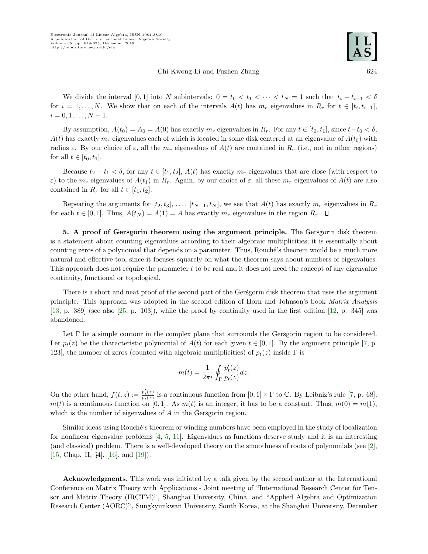## Chi-Kwong Li and Fuzhen Zhang 624

We divide the interval [0, 1] into N subintervals:  $0 = t_0 < t_1 < \cdots < t_N = 1$  such that  $t_i - t_{i-1} < \delta$ for  $i = 1, \ldots, N$ . We show that on each of the intervals  $A(t)$  has  $m_r$  eigenvalues in  $R_r$  for  $t \in [t_i, t_{i+1}]$ ,  $i = 0, 1, \ldots, N - 1.$ 

By assumption,  $A(t_0) = A_0 = A(0)$  has exactly  $m_r$  eigenvalues in  $R_r$ . For any  $t \in [t_0, t_1]$ , since  $t-t_0 < \delta$ ,  $A(t)$  has exactly  $m_r$  eigenvalues each of which is located in some disk centered at an eigenvalue of  $A(t_0)$  with radius  $\varepsilon$ . By our choice of  $\varepsilon$ , all the  $m_r$  eigenvalues of  $A(t)$  are contained in  $R_r$  (i.e., not in other regions) for all  $t \in [t_0, t_1]$ .

Because  $t_2 - t_1 < \delta$ , for any  $t \in [t_1, t_2], A(t)$  has exactly  $m_r$  eigenvalues that are close (with respect to ε) to the  $m_r$  eigenvalues of  $A(t_1)$  in  $R_r$ . Again, by our choice of ε, all these  $m_r$  eigenvalues of  $A(t)$  are also contained in  $R_r$  for all  $t \in [t_1, t_2]$ .

Repeating the arguments for  $[t_2, t_3], \ldots, [t_{N-1}, t_N]$ , we see that  $A(t)$  has exactly  $m_r$  eigenvalues in  $R_r$ for each  $t \in [0,1]$ . Thus,  $A(t_N) = A(1) = A$  has exactly  $m_r$  eigenvalues in the region  $R_r$ .  $\Box$ 

5. A proof of Geršgorin theorem using the argument principle. The Geršgorin disk theorem is a statement about counting eigenvalues according to their algebraic multiplicities; it is essentially about counting zeros of a polynomial that depends on a parameter. Thus, Rouché's theorem would be a much more natural and effective tool since it focuses squarely on what the theorem says about numbers of eigenvalues. This approach does not require the parameter t to be real and it does not need the concept of any eigenvalue continuity, functional or topological.

There is a short and neat proof of the second part of the Gersgorin disk theorem that uses the argument principle. This approach was adopted in the second edition of Horn and Johnson's book Matrix Analysis  $[13, p. 389]$  $[13, p. 389]$  (see also  $[25, p. 103]$ ), while the proof by continuity used in the first edition  $[12, p. 345]$  was abandoned.

Let  $\Gamma$  be a simple contour in the complex plane that surrounds the Gersgorin region to be considered. Let  $p_t(z)$  be the characteristic polynomial of  $A(t)$  for each given  $t \in [0,1]$ . By the argument principle [\[7,](#page-7-23) p. 123], the number of zeros (counted with algebraic multiplicities) of  $p_t(z)$  inside  $\Gamma$  is

$$
m(t) = \frac{1}{2\pi i} \oint_{\Gamma} \frac{p_t'(z)}{p_t(z)} dz.
$$

On the other hand,  $f(t, z) := \frac{p'_t(z)}{p_t(z)}$  $\frac{p_t'(z)}{p_t(z)}$  is a continuous function from  $[0,1] \times \Gamma$  to  $\mathbb{C}$ . By Leibniz's rule [\[7,](#page-7-23) p. 68],  $m(t)$  is a continuous function on [0, 1]. As  $m(t)$  is an integer, it has to be a constant. Thus,  $m(0) = m(1)$ , which is the number of eigenvalues of  $A$  in the Gersgorin region.

Similar ideas using Rouché's theorem or winding numbers have been employed in the study of localization for nonlinear eigenvalue problems [\[4,](#page-7-24) [5,](#page-7-25) [11\]](#page-7-16). Eigenvalues as functions deserve study and it is an interesting (and classical) problem. There is a well-developed theory on the smoothness of roots of polynomials (see [\[2\]](#page-7-26), [\[15,](#page-7-12) Chap. II, §4], [\[16\]](#page-7-27), and [\[19\]](#page-7-28)).

Acknowledgments. This work was initiated by a talk given by the second author at the International Conference on Matrix Theory with Applications - Joint meeting of "International Research Center for Tensor and Matrix Theory (IRCTM)", Shanghai University, China, and "Applied Algebra and Optimization Research Center (AORC)", Sungkyunkwan University, South Korea, at the Shanghai University, December